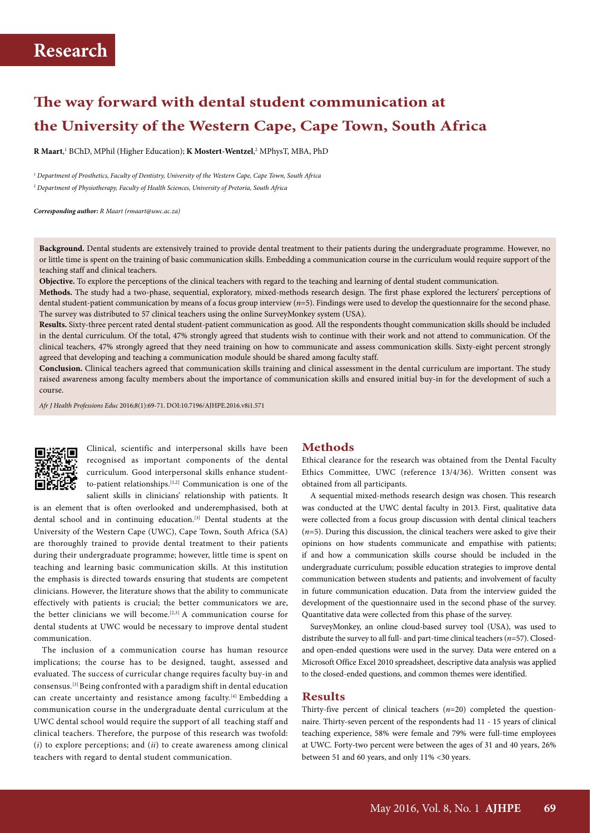# **The way forward with dental student communication at the University of the Western Cape, Cape Town, South Africa**

**R Maart**, 1 BChD, MPhil (Higher Education); **K Mostert-Wentzel**, <sup>2</sup> MPhysT, MBA, PhD

<sup>1</sup> *Department of Prosthetics, Faculty of Dentistry, University of the Western Cape, Cape Town, South Africa* 2  *Department of Physiotherapy, Faculty of Health Sciences, University of Pretoria, South Africa*

*Corresponding author: R Maart (rmaart@uwc.ac.za)*

**Background.** Dental students are extensively trained to provide dental treatment to their patients during the undergraduate programme. However, no or little time is spent on the training of basic communication skills. Embedding a communication course in the curriculum would require support of the teaching staff and clinical teachers.

**Objective.** To explore the perceptions of the clinical teachers with regard to the teaching and learning of dental student communication.

**Methods.** The study had a two-phase, sequential, exploratory, mixed-methods research design. The first phase explored the lecturers' perceptions of dental student-patient communication by means of a focus group interview (*n*=5). Findings were used to develop the questionnaire for the second phase. The survey was distributed to 57 clinical teachers using the online SurveyMonkey system (USA).

**Results.** Sixty-three percent rated dental student-patient communication as good. All the respondents thought communication skills should be included in the dental curriculum. Of the total, 47% strongly agreed that students wish to continue with their work and not attend to communication. Of the clinical teachers, 47% strongly agreed that they need training on how to communicate and assess communication skills. Sixty-eight percent strongly agreed that developing and teaching a communication module should be shared among faculty staff.

**Conclusion.** Clinical teachers agreed that communication skills training and clinical assessment in the dental curriculum are important. The study raised awareness among faculty members about the importance of communication skills and ensured initial buy-in for the development of such a course.

*Afr J Health Professions Educ* 2016;8(1):69-71. DOI:10.7196/AJHPE.2016.v8i1.571



Clinical, scientific and interpersonal skills have been recognised as important components of the dental curriculum. Good interpersonal skills enhance studentto-patient relationships.[1,2] Communication is one of the salient skills in clinicians' relationship with patients. It

is an element that is often overlooked and underemphasised, both at dental school and in continuing education.[3] Dental students at the University of the Western Cape (UWC), Cape Town, South Africa (SA) are thoroughly trained to provide dental treatment to their patients during their undergraduate programme; however, little time is spent on teaching and learning basic communication skills. At this institution the emphasis is directed towards ensuring that students are competent clinicians. However, the literature shows that the ability to communicate effectively with patients is crucial; the better communicators we are, the better clinicians we will become.<sup>[2,3]</sup> A communication course for dental students at UWC would be necessary to improve dental student communication.

The inclusion of a communication course has human resource implications; the course has to be designed, taught, assessed and evaluated. The success of curricular change requires faculty buy-in and consensus.[3] Being confronted with a paradigm shift in dental education can create uncertainty and resistance among faculty.<sup>[4]</sup> Embedding a communication course in the undergraduate dental curriculum at the UWC dental school would require the support of all teaching staff and clinical teachers. Therefore, the purpose of this research was twofold: (*i*) to explore perceptions; and (*ii*) to create awareness among clinical teachers with regard to dental student communication.

#### **Methods**

Ethical clearance for the research was obtained from the Dental Faculty Ethics Committee, UWC (reference 13/4/36). Written consent was obtained from all participants.

A sequential mixed-methods research design was chosen. This research was conducted at the UWC dental faculty in 2013. First, qualitative data were collected from a focus group discussion with dental clinical teachers (*n*=5). During this discussion, the clinical teachers were asked to give their opinions on how students communicate and empathise with patients; if and how a communication skills course should be included in the undergraduate curriculum; possible education strategies to improve dental communication between students and patients; and involvement of faculty in future communication education. Data from the interview guided the development of the questionnaire used in the second phase of the survey. Quantitative data were collected from this phase of the survey.

SurveyMonkey, an online cloud-based survey tool (USA), was used to distribute the survey to all full- and part-time clinical teachers (*n*=57). Closedand open-ended questions were used in the survey. Data were entered on a Microsoft Office Excel 2010 spreadsheet, descriptive data analysis was applied to the closed-ended questions, and common themes were identified.

### **Results**

Thirty-five percent of clinical teachers (*n*=20) completed the questionnaire. Thirty-seven percent of the respondents had 11 - 15 years of clinical teaching experience, 58% were female and 79% were full-time employees at UWC. Forty-two percent were between the ages of 31 and 40 years, 26% between 51 and 60 years, and only 11% <30 years.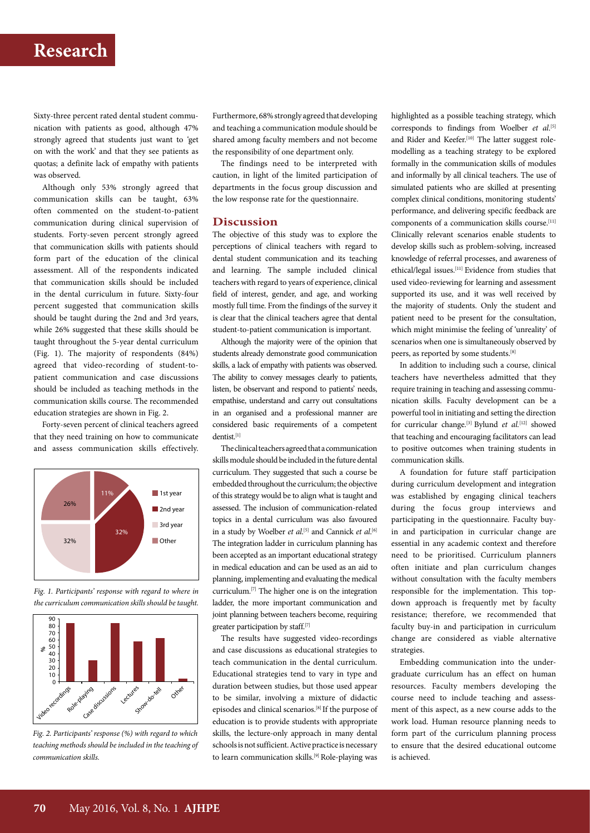## **Research**

Sixty-three percent rated dental student communication with patients as good, although 47% strongly agreed that students just want to 'get on with the work' and that they see patients as quotas; a definite lack of empathy with patients was observed.

Although only 53% strongly agreed that communication skills can be taught, 63% often commented on the student-to-patient communication during clinical supervision of students. Forty-seven percent strongly agreed that communication skills with patients should form part of the education of the clinical assessment. All of the respondents indicated that communication skills should be included in the dental curriculum in future. Sixty-four percent suggested that communication skills should be taught during the 2nd and 3rd years, while 26% suggested that these skills should be taught throughout the 5-year dental curriculum (Fig. 1). The majority of respondents (84%) agreed that video-recording of student-topatient communication and case discussions should be included as teaching methods in the communication skills course. The recommended education strategies are shown in Fig. 2.

Forty-seven percent of clinical teachers agreed that they need training on how to communicate and assess communication skills effectively.



*Fig. 1. Participants' response with regard to where in the curriculum communication skills should be taught.*



*Fig. 2. Participants' response (%) with regard to which teaching methods should be included in the teaching of communication skills.*

Furthermore, 68% strongly agreed that developing and teaching a communication module should be shared among faculty members and not become the responsibility of one department only.

The findings need to be interpreted with caution, in light of the limited participation of departments in the focus group discussion and the low response rate for the questionnaire.

### **Discussion**

The objective of this study was to explore the perceptions of clinical teachers with regard to dental student communication and its teaching and learning. The sample included clinical teachers with regard to years of experience, clinical field of interest, gender, and age, and working mostly full time. From the findings of the survey it is clear that the clinical teachers agree that dental student-to-patient communication is important.

Although the majority were of the opinion that students already demonstrate good communication skills, a lack of empathy with patients was observed. The ability to convey messages clearly to patients, listen, be observant and respond to patients' needs, empathise, understand and carry out consultations in an organised and a professional manner are considered basic requirements of a competent dentist<sup>[1]</sup>

The clinical teachers agreed that a communication skills module should be included in the future dental curriculum. They suggested that such a course be embedded throughout the curriculum; the objective of this strategy would be to align what is taught and assessed. The inclusion of communication-related topics in a dental curriculum was also favoured in a study by Woelber *et al*.<sup>[5]</sup> and Cannick *et al*.<sup>[6]</sup> The integration ladder in curriculum planning has been accepted as an important educational strategy in medical education and can be used as an aid to planning, implementing and evaluating the medical curriculum.[7] The higher one is on the integration ladder, the more important communication and joint planning between teachers become, requiring greater participation by staff.[7]

The results have suggested video-recordings and case discussions as educational strategies to teach communication in the dental curriculum. Educational strategies tend to vary in type and duration between studies, but those used appear to be similar, involving a mixture of didactic episodes and clinical scenarios.[8] If the purpose of education is to provide students with appropriate skills, the lecture-only approach in many dental schools is not sufficient. Active practice is necessary to learn communication skills.<sup>[9]</sup> Role-playing was highlighted as a possible teaching strategy, which corresponds to findings from Woelber *et al*. [5] and Rider and Keefer.<sup>[10]</sup> The latter suggest rolemodelling as a teaching strategy to be explored formally in the communication skills of modules and informally by all clinical teachers. The use of simulated patients who are skilled at presenting complex clinical conditions, monitoring students' performance, and delivering specific feedback are components of a communication skills course.<sup>[11]</sup> Clinically relevant scenarios enable students to develop skills such as problem-solving, increased knowledge of referral processes, and awareness of ethical/legal issues.[11] Evidence from studies that used video-reviewing for learning and assessment supported its use, and it was well received by the majority of students. Only the student and patient need to be present for the consultation, which might minimise the feeling of 'unreality' of scenarios when one is simultaneously observed by peers, as reported by some students.[8]

In addition to including such a course, clinical teachers have nevertheless admitted that they require training in teaching and assessing communication skills. Faculty development can be a powerful tool in initiating and setting the direction for curricular change.[3] Bylund *et al.*[12] showed that teaching and encouraging facilitators can lead to positive outcomes when training students in communication skills.

A foundation for future staff participation during curriculum development and integration was established by engaging clinical teachers during the focus group interviews and participating in the questionnaire. Faculty buyin and participation in curricular change are essential in any academic context and therefore need to be prioritised. Curriculum planners often initiate and plan curriculum changes without consultation with the faculty members responsible for the implementation. This topdown approach is frequently met by faculty resistance; therefore, we recommended that faculty buy-in and participation in curriculum change are considered as viable alternative strategies.

Embedding communication into the undergraduate curriculum has an effect on human resources. Faculty members developing the course need to include teaching and assessment of this aspect, as a new course adds to the work load. Human resource planning needs to form part of the curriculum planning process to ensure that the desired educational outcome is achieved.